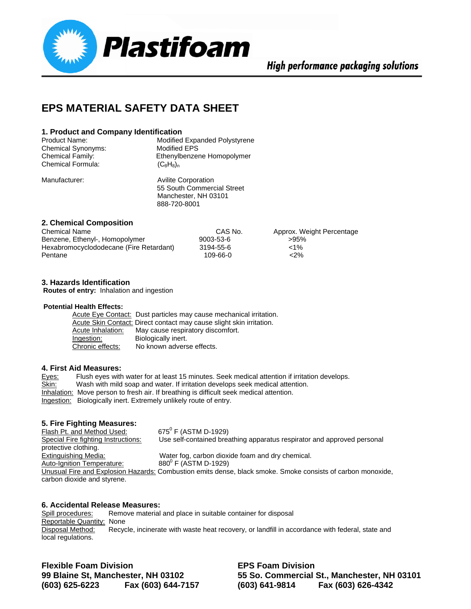

## **EPS MATERIAL SAFETY DATA SHEET**

#### **1. Product and Company Identification**

| <b>Product Name:</b> | Modified Expanded Polystyrene |
|----------------------|-------------------------------|
| Chemical Synonyms:   | Modified EPS                  |
| Chemical Family:     | Ethenylbenzene Homopolymer    |
| Chemical Formula:    | $(C_8H_8)_n$                  |

Manufacturer: Avilite Corporation 55 South Commercial Street Manchester, NH 03101 888-720-8001

#### **2. Chemical Composition**

| <b>Chemical Name</b>                    | CAS No.   | Approx. Weight Percentage |
|-----------------------------------------|-----------|---------------------------|
| Benzene, Ethenyl-, Homopolymer          | 9003-53-6 | >95%                      |
| Hexabromocyclododecane (Fire Retardant) | 3194-55-6 | $< 1\%$                   |
| Pentane                                 | 109-66-0  | $2\%$                     |

#### **3. Hazards Identification**

**Routes of entry:** Inhalation and ingestion

#### **Potential Health Effects:**

 Acute Eye Contact: Dust particles may cause mechanical irritation. Acute Skin Contact: Direct contact may cause slight skin irritation. Acute Inhalation: May cause respiratory discomfort. Ingestion: Biologically inert. **Chronic effects:** No known adverse effects.

#### **4. First Aid Measures:**

| Eyes:        | Flush eyes with water for at least 15 minutes. Seek medical attention if irritation develops. |
|--------------|-----------------------------------------------------------------------------------------------|
| <u>Skin:</u> | Wash with mild soap and water. If irritation develops seek medical attention.                 |
|              | Inhalation: Move person to fresh air. If breathing is difficult seek medical attention.       |
|              | Ingestion: Biologically inert. Extremely unlikely route of entry.                             |

#### **5. Fire Fighting Measures:**

Flash Pt. and Method Used:  $675^{\circ}$  F (ASTM D-1929) Special Fire fighting Instructions: Use self-contained breathing apparatus respirator and approved personal protective clothing. Extinguishing Media: Water fog, carbon dioxide foam and dry chemical. Auto-Ignition Temperature:  $880^0$  F (ASTM D-1929) Unusual Fire and Explosion Hazards: Combustion emits dense, black smoke. Smoke consists of carbon monoxide, carbon dioxide and styrene.

#### **6. Accidental Release Measures:**

Spill procedures: Remove material and place in suitable container for disposal Reportable Quantity: None Disposal Method: Recycle, incinerate with waste heat recovery, or landfill in accordance with federal, state and local regulations.

**Flexible Foam Division EPS Foam Division (603) 625-6223 Fax (603) 644-7157 (603) 641-9814 Fax (603) 626-4342** 

**99 Blaine St, Manchester, NH 03102 55 So. Commercial St., Manchester, NH 03101**